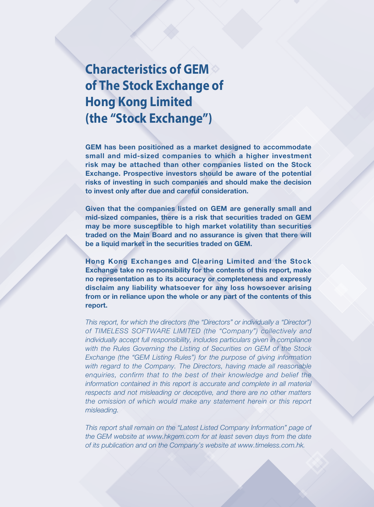# **Characteristics of GEM of The Stock Exchange of Hong Kong Limited (the "Stock Exchange")**

GEM has been positioned as a market designed to accommodate small and mid-sized companies to which a higher investment risk may be attached than other companies listed on the Stock Exchange. Prospective investors should be aware of the potential risks of investing in such companies and should make the decision to invest only after due and careful consideration.

Given that the companies listed on GEM are generally small and mid-sized companies, there is a risk that securities traded on GEM may be more susceptible to high market volatility than securities traded on the Main Board and no assurance is given that there will be a liquid market in the securities traded on GEM.

Hong Kong Exchanges and Clearing Limited and the Stock Exchange take no responsibility for the contents of this report, make no representation as to its accuracy or completeness and expressly disclaim any liability whatsoever for any loss howsoever arising from or in reliance upon the whole or any part of the contents of this report.

*This report, for which the directors (the "Directors" or individually a "Director") of TIMELESS SOFTWARE LIMITED (the "Company") collectively and individually accept full responsibility, includes particulars given in compliance with the Rules Governing the Listing of Securities on GEM of the Stock Exchange (the "GEM Listing Rules") for the purpose of giving information with regard to the Company. The Directors, having made all reasonable enquiries, confirm that to the best of their knowledge and belief the information contained in this report is accurate and complete in all material respects and not misleading or deceptive, and there are no other matters the omission of which would make any statement herein or this report misleading.*

*This report shall remain on the "Latest Listed Company Information" page of the GEM website at www.hkgem.com for at least seven days from the date of its publication and on the Company's website at www.timeless.com.hk.*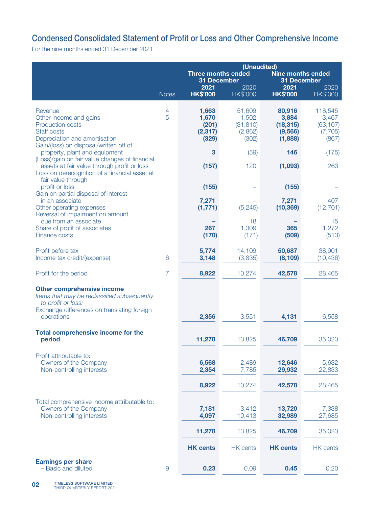# Condensed Consolidated Statement of Profit or Loss and Other Comprehensive Income

For the nine months ended 31 December 2021

|                                                                                                                                                                                                                                                                                                                                                   |                | (Unaudited)                                     |                                                  |                                                     |                                                    |  |
|---------------------------------------------------------------------------------------------------------------------------------------------------------------------------------------------------------------------------------------------------------------------------------------------------------------------------------------------------|----------------|-------------------------------------------------|--------------------------------------------------|-----------------------------------------------------|----------------------------------------------------|--|
|                                                                                                                                                                                                                                                                                                                                                   |                | <b>Three months ended</b><br><b>31 December</b> |                                                  | <b>Nine months ended</b><br><b>31 December</b>      |                                                    |  |
|                                                                                                                                                                                                                                                                                                                                                   | <b>Notes</b>   | 2021<br><b>HK\$'000</b>                         | 2020<br><b>HK\$'000</b>                          | 2021<br><b>HK\$'000</b>                             | 2020<br><b>HK\$'000</b>                            |  |
| Revenue<br>Other income and gains<br><b>Production costs</b><br>Staff costs<br>Depreciation and amortisation<br>Gain/(loss) on disposal/written off of                                                                                                                                                                                            | 4<br>5         | 1,663<br>1,670<br>(201)<br>(2, 317)<br>(329)    | 51,609<br>1,502<br>(31, 810)<br>(2,862)<br>(302) | 80,916<br>3,884<br>(18, 315)<br>(9, 566)<br>(1,888) | 118,545<br>3,467<br>(63, 107)<br>(7, 705)<br>(867) |  |
| property, plant and equipment<br>(Loss)/gain on fair value changes of financial                                                                                                                                                                                                                                                                   |                | 3                                               | (59)                                             | 146                                                 | (175)                                              |  |
| assets at fair value through profit or loss<br>Loss on derecognition of a financial asset at<br>fair value through<br>profit or loss<br>Gain on partial disposal of interest<br>in an associate<br>Other operating expenses<br>Reversal of impairment on amount<br>due from an associate<br>Share of profit of associates<br><b>Finance costs</b> |                | (157)                                           | 120                                              | (1,093)                                             | 263                                                |  |
|                                                                                                                                                                                                                                                                                                                                                   |                | (155)                                           |                                                  | (155)                                               |                                                    |  |
|                                                                                                                                                                                                                                                                                                                                                   |                | 7,271<br>(1, 771)                               | (5, 245)                                         | 7,271<br>(10, 369)                                  | 407<br>(12, 701)                                   |  |
|                                                                                                                                                                                                                                                                                                                                                   |                | 267<br>(170)                                    | 18<br>1,309<br>(171)                             | 365<br>(509)                                        | 15<br>1,272<br>(513)                               |  |
| Profit before tax<br>Income tax credit/(expense)                                                                                                                                                                                                                                                                                                  | 6              | 5,774<br>3,148                                  | 14,109<br>(3,835)                                | 50,687<br>(8, 109)                                  | 38,901<br>(10, 436)                                |  |
| Profit for the period                                                                                                                                                                                                                                                                                                                             | $\overline{7}$ | 8,922                                           | 10,274                                           | 42,578                                              | 28,465                                             |  |
| <b>Other comprehensive income</b><br>Items that may be reclassified subsequently<br>to profit or loss:<br>Exchange differences on translating foreign<br>operations                                                                                                                                                                               |                | 2,356                                           | 3,551                                            | 4,131                                               | 6,558                                              |  |
| <b>Total comprehensive income for the</b><br>period                                                                                                                                                                                                                                                                                               |                | 11,278                                          | 13,825                                           | 46,709                                              | 35,023                                             |  |
| Profit attributable to:<br>Owners of the Company<br>Non-controlling interests                                                                                                                                                                                                                                                                     |                | 6,568<br>2,354                                  | 2,489<br>7,785                                   | 12,646<br>29,932                                    | 5,632<br>22,833                                    |  |
|                                                                                                                                                                                                                                                                                                                                                   |                | 8,922                                           | 10,274                                           | 42,578                                              | 28,465                                             |  |
| Total comprehensive income attributable to:<br>Owners of the Company<br>Non-controlling interests                                                                                                                                                                                                                                                 |                | 7,181<br>4,097                                  | 3,412<br>10,413                                  | 13,720<br>32,989                                    | 7,338<br>27,685                                    |  |
|                                                                                                                                                                                                                                                                                                                                                   |                | 11,278                                          | 13,825                                           | 46,709                                              | 35,023                                             |  |
|                                                                                                                                                                                                                                                                                                                                                   |                | <b>HK cents</b>                                 | <b>HK</b> cents                                  | <b>HK cents</b>                                     | <b>HK</b> cents                                    |  |
| <b>Earnings per share</b><br>- Basic and diluted                                                                                                                                                                                                                                                                                                  | $\overline{9}$ | 0.23                                            | 0.09                                             | 0.45                                                | 0.20                                               |  |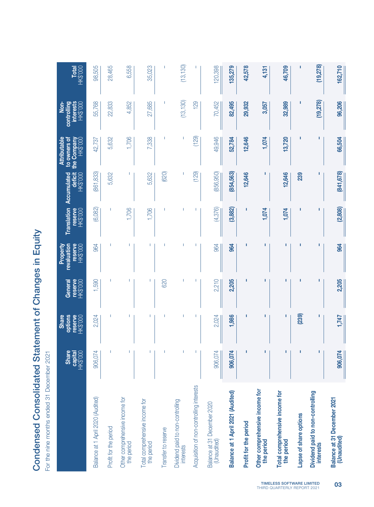|                                                      | .<br>-<br>-<br>-           |
|------------------------------------------------------|----------------------------|
| ondensed Consolidated Statement of Changes in Equity | 1 Decemb                   |
|                                                      | or the nine months ended 3 |

|                                                      | <b>Share</b><br>capital<br><b>HK\$'000</b> | options<br>reserve<br>HK\$'000<br><b>Share</b> | reserve<br>HK\$'000<br>General | reserve<br>revaluation<br>HK\$'000<br>Property | <b>Translation</b><br>reserve<br><b>HK\$'000</b> | Accumulated<br>deficit<br><b>HK\$'000</b> | <b>Attributable</b><br>to owners of<br>the Company<br><b>HK\$'000</b> | <b>interests</b><br>HK\$'000<br>controlling<br>$\frac{1}{2}$ | <b>Total</b><br>HK\$'000 |
|------------------------------------------------------|--------------------------------------------|------------------------------------------------|--------------------------------|------------------------------------------------|--------------------------------------------------|-------------------------------------------|-----------------------------------------------------------------------|--------------------------------------------------------------|--------------------------|
| Balance at 1 April 2020 (Audited)                    | 906,074                                    | 2,024                                          | 1,590                          | 964                                            | (6,082)                                          | 861,833                                   | 42,737                                                                | 55,768                                                       | 98,505                   |
| Profit for the period                                |                                            |                                                |                                |                                                |                                                  | 5,632                                     | 5,632                                                                 | 22,833                                                       | 28,465                   |
| Other comprehensive income for<br>the period         |                                            |                                                |                                |                                                | 1,706                                            |                                           | 1,706                                                                 | 4,852                                                        | 6,558                    |
| Total comprehensive income for<br>the period         | т                                          | T                                              | T                              | ı                                              | 1,706                                            | 5,632                                     | 7,338                                                                 | 27,685                                                       | 35,023                   |
| Transfer to reserve                                  |                                            |                                                | 620                            |                                                |                                                  | (620)                                     |                                                                       |                                                              |                          |
| Dividend paid to non-controlling<br><b>interests</b> |                                            |                                                |                                |                                                |                                                  | 1                                         | 1                                                                     | (13, 130)                                                    | (13, 130)                |
| Acquisition of non-controlling interests             |                                            |                                                |                                |                                                |                                                  | (129)                                     | (129)                                                                 | 129                                                          |                          |
| Balance at 31 December 2020<br>(Unaudited)           | 906,074                                    | 2,024                                          | 2,210                          | 964                                            | (4, 376)                                         | (856, 950)                                | 49,946                                                                | 70,452                                                       | 120,398                  |
| Balance at 1 April 2021 (Audited)                    | 906,074                                    | 1,986                                          | 2,205                          | 964                                            | (3,882)                                          | (854,563)                                 | 52,784                                                                | 82,495                                                       | 135,279                  |
| Profit for the period                                |                                            | п                                              |                                |                                                |                                                  | 12,646                                    | 12,646                                                                | 29,932                                                       | 42,578                   |
| Other comprehensive income for<br>the period         | ı                                          | ı                                              | П                              | ı                                              | 1,074                                            |                                           | 1,074                                                                 | 3,057                                                        | 4,131                    |
| Total comprehensive income for<br>the period         | п                                          | п                                              | п                              | п                                              | 1,074                                            | 12,646                                    | 13,720                                                                | 32,989                                                       | 46,709                   |
| Lapse of share options                               |                                            | (239)                                          |                                |                                                |                                                  | 239                                       |                                                                       |                                                              | п                        |
| Dividend paid to non-controlling<br>interests        | ī                                          | ı                                              | Π                              |                                                |                                                  |                                           |                                                                       | (19,278)                                                     | (19,278)                 |
| Balance at 31 December 2021<br>(Unaudited)           | 906,074                                    | 1,747                                          | 2,205                          | 964                                            | (2,808)                                          | 841,678                                   | 66,504                                                                | 96,206                                                       | 162,710                  |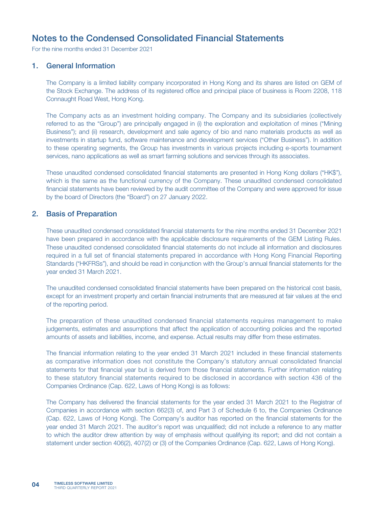For the nine months ended 31 December 2021

### 1. General Information

The Company is a limited liability company incorporated in Hong Kong and its shares are listed on GEM of the Stock Exchange. The address of its registered office and principal place of business is Room 2208, 118 Connaught Road West, Hong Kong.

The Company acts as an investment holding company. The Company and its subsidiaries (collectively referred to as the "Group") are principally engaged in (i) the exploration and exploitation of mines ("Mining Business"); and (ii) research, development and sale agency of bio and nano materials products as well as investments in startup fund, software maintenance and development services ("Other Business"). In addition to these operating segments, the Group has investments in various projects including e-sports tournament services, nano applications as well as smart farming solutions and services through its associates.

These unaudited condensed consolidated financial statements are presented in Hong Kong dollars ("HK\$"), which is the same as the functional currency of the Company. These unaudited condensed consolidated financial statements have been reviewed by the audit committee of the Company and were approved for issue by the board of Directors (the "Board") on 27 January 2022.

#### 2. Basis of Preparation

These unaudited condensed consolidated financial statements for the nine months ended 31 December 2021 have been prepared in accordance with the applicable disclosure requirements of the GEM Listing Rules. These unaudited condensed consolidated financial statements do not include all information and disclosures required in a full set of financial statements prepared in accordance with Hong Kong Financial Reporting Standards ("HKFRSs"), and should be read in conjunction with the Group's annual financial statements for the year ended 31 March 2021.

The unaudited condensed consolidated financial statements have been prepared on the historical cost basis, except for an investment property and certain financial instruments that are measured at fair values at the end of the reporting period.

The preparation of these unaudited condensed financial statements requires management to make judgements, estimates and assumptions that affect the application of accounting policies and the reported amounts of assets and liabilities, income, and expense. Actual results may differ from these estimates.

The financial information relating to the year ended 31 March 2021 included in these financial statements as comparative information does not constitute the Company's statutory annual consolidated financial statements for that financial year but is derived from those financial statements. Further information relating to these statutory financial statements required to be disclosed in accordance with section 436 of the Companies Ordinance (Cap. 622, Laws of Hong Kong) is as follows:

The Company has delivered the financial statements for the year ended 31 March 2021 to the Registrar of Companies in accordance with section 662(3) of, and Part 3 of Schedule 6 to, the Companies Ordinance (Cap. 622, Laws of Hong Kong). The Company's auditor has reported on the financial statements for the year ended 31 March 2021. The auditor's report was unqualified; did not include a reference to any matter to which the auditor drew attention by way of emphasis without qualifying its report; and did not contain a statement under section 406(2), 407(2) or (3) of the Companies Ordinance (Cap. 622, Laws of Hong Kong).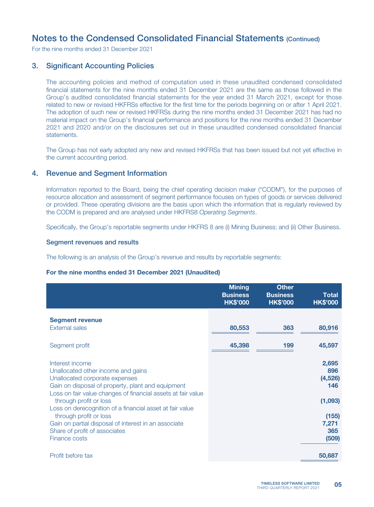For the nine months ended 31 December 2021

### 3. Significant Accounting Policies

The accounting policies and method of computation used in these unaudited condensed consolidated financial statements for the nine months ended 31 December 2021 are the same as those followed in the Group's audited consolidated financial statements for the year ended 31 March 2021, except for those related to new or revised HKFRSs effective for the first time for the periods beginning on or after 1 April 2021. The adoption of such new or revised HKFRSs during the nine months ended 31 December 2021 has had no material impact on the Group's financial performance and positions for the nine months ended 31 December 2021 and 2020 and/or on the disclosures set out in these unaudited condensed consolidated financial statements.

The Group has not early adopted any new and revised HKFRSs that has been issued but not yet effective in the current accounting period.

### 4. Revenue and Segment Information

Information reported to the Board, being the chief operating decision maker ("CODM"), for the purposes of resource allocation and assessment of segment performance focuses on types of goods or services delivered or provided. These operating divisions are the basis upon which the information that is regularly reviewed by the CODM is prepared and are analysed under HKFRS8 *Operating Segments*.

Specifically, the Group's reportable segments under HKFRS 8 are (i) Mining Business; and (ii) Other Business.

#### Segment revenues and results

The following is an analysis of the Group's revenue and results by reportable segments:

#### For the nine months ended 31 December 2021 (Unaudited)

|                                                              | <b>Mining</b><br><b>Business</b><br><b>HK\$'000</b> | <b>Other</b><br><b>Business</b><br><b>HK\$'000</b> | <b>Total</b><br><b>HK\$'000</b> |
|--------------------------------------------------------------|-----------------------------------------------------|----------------------------------------------------|---------------------------------|
| <b>Segment revenue</b>                                       |                                                     |                                                    |                                 |
| <b>External sales</b>                                        | 80,553                                              | 363                                                | 80,916                          |
| Segment profit                                               | 45,398                                              | 199                                                | 45,597                          |
| Interest income                                              |                                                     |                                                    | 2,695                           |
| Unallocated other income and gains                           |                                                     |                                                    | 896                             |
| Unallocated corporate expenses                               |                                                     |                                                    | (4, 526)                        |
| Gain on disposal of property, plant and equipment            |                                                     |                                                    | 146                             |
| Loss on fair value changes of financial assets at fair value |                                                     |                                                    |                                 |
| through profit or loss                                       |                                                     |                                                    | (1,093)                         |
| Loss on derecognition of a financial asset at fair value     |                                                     |                                                    |                                 |
| through profit or loss                                       |                                                     |                                                    | (155)                           |
| Gain on partial disposal of interest in an associate         |                                                     |                                                    | 7,271                           |
| Share of profit of associates                                |                                                     |                                                    | 365                             |
| Finance costs                                                |                                                     |                                                    | (509)                           |
| Profit before tax                                            |                                                     |                                                    | 50,687                          |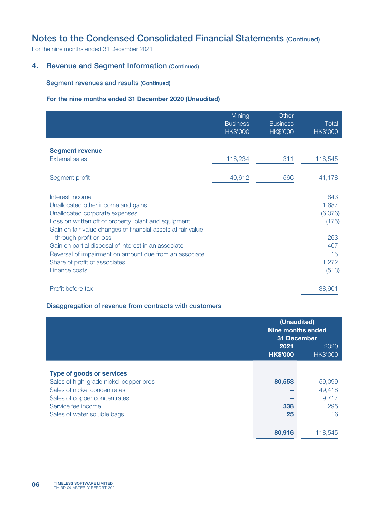For the nine months ended 31 December 2021

### 4. Revenue and Segment Information (Continued)

#### Segment revenues and results (Continued)

### For the nine months ended 31 December 2020 (Unaudited)

|                                                              | Mining<br><b>Business</b><br><b>HK\$'000</b> | Other<br><b>Business</b><br><b>HK\$'000</b> | Total<br><b>HK\$'000</b> |
|--------------------------------------------------------------|----------------------------------------------|---------------------------------------------|--------------------------|
|                                                              |                                              |                                             |                          |
| <b>Segment revenue</b>                                       |                                              |                                             |                          |
| <b>External sales</b>                                        | 118,234                                      | 311                                         | 118,545                  |
|                                                              |                                              |                                             |                          |
| Segment profit                                               | 40,612                                       | 566                                         | 41,178                   |
| Interest income                                              |                                              |                                             | 843                      |
| Unallocated other income and gains                           |                                              |                                             | 1,687                    |
| Unallocated corporate expenses                               |                                              |                                             | (6,076)                  |
| Loss on written off of property, plant and equipment         |                                              |                                             | (175)                    |
| Gain on fair value changes of financial assets at fair value |                                              |                                             |                          |
| through profit or loss                                       |                                              |                                             | 263                      |
| Gain on partial disposal of interest in an associate         |                                              |                                             | 407                      |
| Reversal of impairment on amount due from an associate       |                                              |                                             | 15                       |
| Share of profit of associates                                |                                              |                                             | 1,272                    |
| Finance costs                                                |                                              |                                             | (513)                    |
|                                                              |                                              |                                             |                          |
| Profit before tax                                            |                                              |                                             | 38,901                   |

#### Disaggregation of revenue from contracts with customers

|                                        |                         | (Unaudited)<br>Nine months ended<br><b>31 December</b> |
|----------------------------------------|-------------------------|--------------------------------------------------------|
|                                        | 2021<br><b>HK\$'000</b> | 2020<br><b>HK\$'000</b>                                |
| <b>Type of goods or services</b>       |                         |                                                        |
| Sales of high-grade nickel-copper ores | 80,553                  | 59,099                                                 |
| Sales of nickel concentrates           |                         | 49,418                                                 |
| Sales of copper concentrates           |                         | 9,717                                                  |
| Service fee income                     | 338                     | 295                                                    |
| Sales of water soluble bags            | 25                      | 16                                                     |
|                                        |                         |                                                        |
|                                        | 80,916                  | 118,545                                                |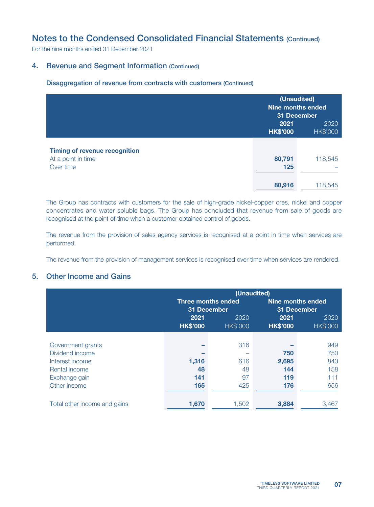For the nine months ended 31 December 2021

### 4. Revenue and Segment Information (Continued)

Disaggregation of revenue from contracts with customers (Continued)

|                                      | 31 December             | (Unaudited)<br><b>Nine months ended</b> |
|--------------------------------------|-------------------------|-----------------------------------------|
|                                      | 2021<br><b>HK\$'000</b> | 2020<br><b>HK\$'000</b>                 |
| <b>Timing of revenue recognition</b> |                         |                                         |
| At a point in time                   | 80,791                  | 118,545                                 |
| Over time                            | 125                     |                                         |
|                                      | 80,916                  | 118,545                                 |

The Group has contracts with customers for the sale of high-grade nickel-copper ores, nickel and copper concentrates and water soluble bags. The Group has concluded that revenue from sale of goods are recognised at the point of time when a customer obtained control of goods.

The revenue from the provision of sales agency services is recognised at a point in time when services are performed.

The revenue from the provision of management services is recognised over time when services are rendered.

### 5. Other Income and Gains

|                              | (Unaudited)               |                 |                   |          |  |
|------------------------------|---------------------------|-----------------|-------------------|----------|--|
|                              | <b>Three months ended</b> |                 | Nine months ended |          |  |
|                              | 31 December               |                 | 31 December       |          |  |
|                              | 2021                      | 2020            | 2021              | 2020     |  |
|                              | <b>HK\$'000</b>           | <b>HK\$'000</b> | <b>HK\$'000</b>   | HK\$'000 |  |
|                              |                           |                 |                   |          |  |
| Government grants            |                           | 316             |                   | 949      |  |
| Dividend income              |                           |                 | 750               | 750      |  |
| Interest income              | 1,316                     | 616             | 2,695             | 843      |  |
| Rental income                | 48                        | 48              | 144               | 158      |  |
| Exchange gain                | 141                       | 97              | 119               | 111      |  |
| Other income                 | 165                       | 425             | 176               | 656      |  |
|                              |                           |                 |                   |          |  |
| Total other income and gains | 1,670                     | 1,502           | 3,884             | 3,467    |  |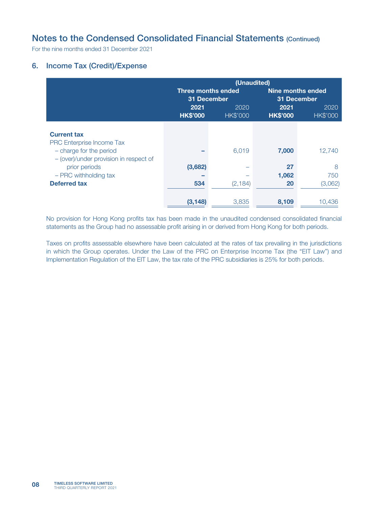For the nine months ended 31 December 2021

## 6. Income Tax (Credit)/Expense

|                                        | (Unaudited)                              |                         |                          |                         |  |
|----------------------------------------|------------------------------------------|-------------------------|--------------------------|-------------------------|--|
|                                        | <b>Three months ended</b><br>31 December |                         | <b>Nine months ended</b> | <b>31 December</b>      |  |
|                                        | 2021<br><b>HK\$'000</b>                  | 2020<br><b>HK\$'000</b> | 2021<br><b>HK\$'000</b>  | 2020<br><b>HK\$'000</b> |  |
|                                        |                                          |                         |                          |                         |  |
| <b>Current tax</b>                     |                                          |                         |                          |                         |  |
| PRC Enterprise Income Tax              |                                          |                         |                          |                         |  |
| - charge for the period                |                                          | 6,019                   | 7,000                    | 12,740                  |  |
| - (over)/under provision in respect of |                                          |                         |                          |                         |  |
| prior periods                          | (3,682)                                  |                         | 27                       | 8                       |  |
| - PRC withholding tax                  |                                          |                         | 1,062                    | 750                     |  |
| <b>Deferred tax</b>                    | 534                                      | (2, 184)                | 20                       | (3,062)                 |  |
|                                        |                                          |                         |                          |                         |  |
|                                        | (3, 148)                                 | 3,835                   | 8,109                    | 10,436                  |  |

No provision for Hong Kong profits tax has been made in the unaudited condensed consolidated financial statements as the Group had no assessable profit arising in or derived from Hong Kong for both periods.

Taxes on profits assessable elsewhere have been calculated at the rates of tax prevailing in the jurisdictions in which the Group operates. Under the Law of the PRC on Enterprise Income Tax (the "EIT Law") and Implementation Regulation of the EIT Law, the tax rate of the PRC subsidiaries is 25% for both periods.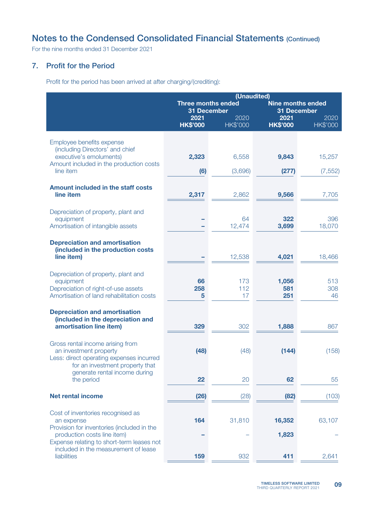For the nine months ended 31 December 2021

### 7. Profit for the Period

Profit for the period has been arrived at after charging/(crediting):

|                                                                             | (Unaudited)                              |                         |                                                |                         |  |  |
|-----------------------------------------------------------------------------|------------------------------------------|-------------------------|------------------------------------------------|-------------------------|--|--|
|                                                                             | <b>Three months ended</b><br>31 December |                         | <b>Nine months ended</b><br><b>31 December</b> |                         |  |  |
|                                                                             | 2021<br><b>HK\$'000</b>                  | 2020<br><b>HK\$'000</b> | 2021<br><b>HK\$'000</b>                        | 2020<br><b>HK\$'000</b> |  |  |
| Employee benefits expense                                                   |                                          |                         |                                                |                         |  |  |
| (including Directors' and chief<br>executive's emoluments)                  | 2,323                                    | 6,558                   | 9,843                                          | 15,257                  |  |  |
| Amount included in the production costs<br>line item                        | (6)                                      | (3,696)                 | (277)                                          | (7, 552)                |  |  |
| Amount included in the staff costs                                          |                                          |                         |                                                |                         |  |  |
| line item                                                                   | 2,317                                    | 2,862                   | 9,566                                          | 7,705                   |  |  |
| Depreciation of property, plant and<br>equipment                            |                                          | 64                      | 322                                            | 396                     |  |  |
| Amortisation of intangible assets                                           |                                          | 12,474                  | 3,699                                          | 18,070                  |  |  |
| <b>Depreciation and amortisation</b>                                        |                                          |                         |                                                |                         |  |  |
| (included in the production costs<br>line item)                             |                                          | 12,538                  | 4,021                                          | 18,466                  |  |  |
| Depreciation of property, plant and                                         |                                          |                         |                                                |                         |  |  |
| equipment<br>Depreciation of right-of-use assets                            | 66<br>258                                | 173<br>112              | 1,056<br>581                                   | 513<br>308              |  |  |
| Amortisation of land rehabilitation costs                                   | 5                                        | 17                      | 251                                            | 46                      |  |  |
| <b>Depreciation and amortisation</b><br>(included in the depreciation and   |                                          |                         |                                                |                         |  |  |
| amortisation line item)                                                     | 329                                      | 302                     | 1,888                                          | 867                     |  |  |
| Gross rental income arising from<br>an investment property                  | (48)                                     | (48)                    | (144)                                          | (158)                   |  |  |
| Less: direct operating expenses incurred<br>for an investment property that |                                          |                         |                                                |                         |  |  |
| generate rental income during<br>the period                                 | 22                                       | 20                      | 62                                             | 55                      |  |  |
| <b>Net rental income</b>                                                    | (26)                                     | (28)                    | (82)                                           | (103)                   |  |  |
| Cost of inventories recognised as                                           |                                          |                         |                                                |                         |  |  |
| an expense<br>Provision for inventories (included in the                    | 164                                      | 31,810                  | 16,352                                         | 63,107                  |  |  |
| production costs line item)<br>Expense relating to short-term leases not    |                                          |                         | 1,823                                          |                         |  |  |
| included in the measurement of lease<br>liabilities                         | 159                                      | 932                     | 411                                            | 2,641                   |  |  |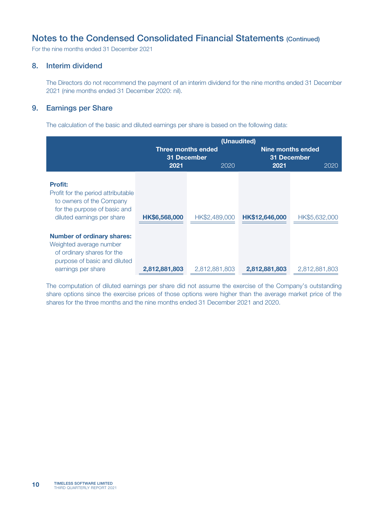For the nine months ended 31 December 2021

## 8. Interim dividend

The Directors do not recommend the payment of an interim dividend for the nine months ended 31 December 2021 (nine months ended 31 December 2020: nil).

### 9. Earnings per Share

The calculation of the basic and diluted earnings per share is based on the following data:

|                                                                                                                                                  | (Unaudited)   |                           |                |                   |  |  |
|--------------------------------------------------------------------------------------------------------------------------------------------------|---------------|---------------------------|----------------|-------------------|--|--|
|                                                                                                                                                  |               | <b>Three months ended</b> |                | Nine months ended |  |  |
|                                                                                                                                                  |               | 31 December               |                | 31 December       |  |  |
|                                                                                                                                                  | 2021          | 2020                      | 2021           | 2020              |  |  |
| <b>Profit:</b><br>Profit for the period attributable<br>to owners of the Company<br>for the purpose of basic and<br>diluted earnings per share   | HK\$6,568,000 | HK\$2,489,000             | HK\$12,646,000 | HK\$5,632,000     |  |  |
| <b>Number of ordinary shares:</b><br>Weighted average number<br>of ordinary shares for the<br>purpose of basic and diluted<br>earnings per share | 2,812,881,803 | 2,812,881,803             | 2,812,881,803  | 2,812,881,803     |  |  |

The computation of diluted earnings per share did not assume the exercise of the Company's outstanding share options since the exercise prices of those options were higher than the average market price of the shares for the three months and the nine months ended 31 December 2021 and 2020.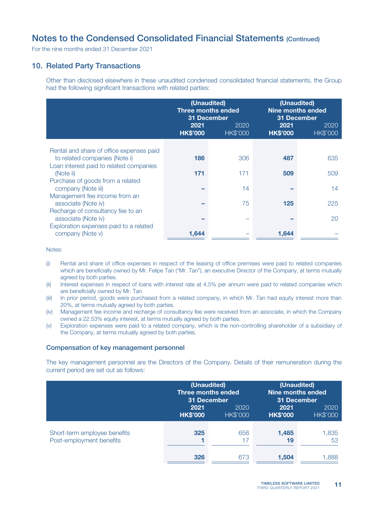For the nine months ended 31 December 2021

### 10. Related Party Transactions

Other than disclosed elsewhere in these unaudited condensed consolidated financial statements, the Group had the following significant transactions with related parties:

|                                                          | (Unaudited)<br><b>Three months ended</b><br><b>31 December</b><br>2021<br>2020<br><b>HK\$'000</b><br><b>HK\$'000</b> |     | (Unaudited)<br><b>Nine months ended</b><br>31 December<br>2021 | 2020            |
|----------------------------------------------------------|----------------------------------------------------------------------------------------------------------------------|-----|----------------------------------------------------------------|-----------------|
|                                                          |                                                                                                                      |     | <b>HK\$'000</b>                                                | <b>HK\$'000</b> |
| Rental and share of office expenses paid                 |                                                                                                                      |     |                                                                |                 |
| to related companies (Note i)                            | 186                                                                                                                  | 306 | 487                                                            | 635             |
| Loan interest paid to related companies<br>(Note ii)     | 171                                                                                                                  | 171 | 509                                                            | 509             |
| Purchase of goods from a related<br>company (Note iii)   |                                                                                                                      | 14  |                                                                | 14              |
| Management fee income from an                            |                                                                                                                      |     |                                                                |                 |
| associate (Note iv)                                      |                                                                                                                      | 75  | 125                                                            | 225             |
| Recharge of consultancy fee to an<br>associate (Note iv) |                                                                                                                      |     |                                                                | 20              |
| Exploration expenses paid to a related                   |                                                                                                                      |     |                                                                |                 |
| company (Note v)                                         | 1,644                                                                                                                |     | 1,644                                                          |                 |

Notes:

- (i) Rental and share of office expenses in respect of the leasing of office premises were paid to related companies which are beneficially owned by Mr. Felipe Tan ("Mr. Tan"), an executive Director of the Company, at terms mutually agreed by both parties.
- (ii) Interest expenses in respect of loans with interest rate at 4.5% per annum were paid to related companies which are beneficially owned by Mr. Tan.
- (iii) In prior period, goods were purchased from a related company, in which Mr. Tan had equity interest more than 20%, at terms mutually agreed by both parties.
- (iv) Management fee income and recharge of consultancy fee were received from an associate, in which the Company owned a 22.53% equity interest, at terms mutually agreed by both parties.
- (v) Exploration expenses were paid to a related company, which is the non-controlling shareholder of a subsidiary of the Company, at terms mutually agreed by both parties.

#### Compensation of key management personnel

The key management personnel are the Directors of the Company. Details of their remuneration during the current period are set out as follows:

|                              | 31 December     | (Unaudited)<br>Three months ended | (Unaudited)<br><b>Nine months ended</b><br><b>31 December</b> |                 |  |
|------------------------------|-----------------|-----------------------------------|---------------------------------------------------------------|-----------------|--|
|                              | 2021            | 2020                              | 2021                                                          | 2020            |  |
|                              | <b>HK\$'000</b> | <b>HK\$'000</b>                   | <b>HK\$'000</b>                                               | <b>HK\$'000</b> |  |
| Short-term employee benefits | 325             | 656                               | 1,485                                                         | 1,835           |  |
| Post-employment benefits     |                 | 17                                | 19                                                            | 53              |  |
|                              | 326             | 673                               | 1,504                                                         | .888            |  |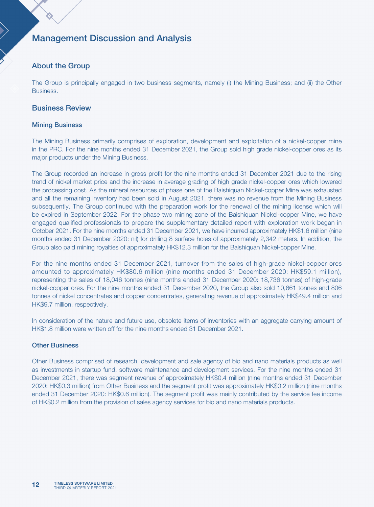# Management Discussion and Analysis

### About the Group

The Group is principally engaged in two business segments, namely (i) the Mining Business; and (ii) the Other Business.

#### Business Review

#### Mining Business

The Mining Business primarily comprises of exploration, development and exploitation of a nickel-copper mine in the PRC. For the nine months ended 31 December 2021, the Group sold high grade nickel-copper ores as its major products under the Mining Business.

The Group recorded an increase in gross profit for the nine months ended 31 December 2021 due to the rising trend of nickel market price and the increase in average grading of high grade nickel-copper ores which lowered the processing cost. As the mineral resources of phase one of the Baishiquan Nickel-copper Mine was exhausted and all the remaining inventory had been sold in August 2021, there was no revenue from the Mining Business subsequently. The Group continued with the preparation work for the renewal of the mining license which will be expired in September 2022. For the phase two mining zone of the Baishiquan Nickel-copper Mine, we have engaged qualified professionals to prepare the supplementary detailed report with exploration work began in October 2021. For the nine months ended 31 December 2021, we have incurred approximately HK\$1.6 million (nine months ended 31 December 2020: nil) for drilling 8 surface holes of approximately 2,342 meters. In addition, the Group also paid mining royalties of approximately HK\$12.3 million for the Baishiquan Nickel-copper Mine.

For the nine months ended 31 December 2021, turnover from the sales of high-grade nickel-copper ores amounted to approximately HK\$80.6 million (nine months ended 31 December 2020: HK\$59.1 million), representing the sales of 18,046 tonnes (nine months ended 31 December 2020: 18,736 tonnes) of high-grade nickel-copper ores. For the nine months ended 31 December 2020, the Group also sold 10,661 tonnes and 806 tonnes of nickel concentrates and copper concentrates, generating revenue of approximately HK\$49.4 million and HK\$9.7 million, respectively.

In consideration of the nature and future use, obsolete items of inventories with an aggregate carrying amount of HK\$1.8 million were written off for the nine months ended 31 December 2021.

#### **Other Business**

Other Business comprised of research, development and sale agency of bio and nano materials products as well as investments in startup fund, software maintenance and development services. For the nine months ended 31 December 2021, there was segment revenue of approximately HK\$0.4 million (nine months ended 31 December 2020: HK\$0.3 million) from Other Business and the segment profit was approximately HK\$0.2 million (nine months ended 31 December 2020: HK\$0.6 million). The segment profit was mainly contributed by the service fee income of HK\$0.2 million from the provision of sales agency services for bio and nano materials products.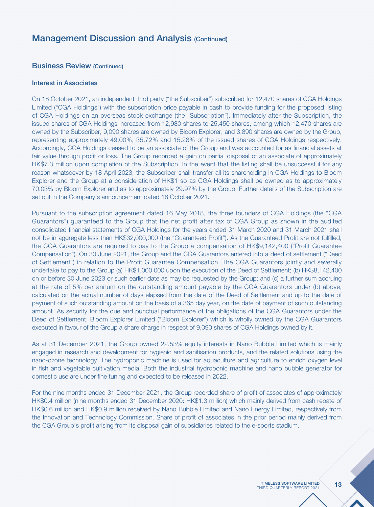# Management Discussion and Analysis (Continued)

### Business Review (Continued)

#### Interest in Associates

On 18 October 2021, an independent third party ("the Subscriber") subscribed for 12,470 shares of CGA Holdings Limited ("CGA Holdings") with the subscription price payable in cash to provide funding for the proposed listing of CGA Holdings on an overseas stock exchange (the "Subscription"). Immediately after the Subscription, the issued shares of CGA Holdings increased from 12,980 shares to 25,450 shares, among which 12,470 shares are owned by the Subscriber, 9,090 shares are owned by Bloom Explorer, and 3,890 shares are owned by the Group, representing approximately 49.00%, 35.72% and 15.28% of the issued shares of CGA Holdings respectively. Accordingly, CGA Holdings ceased to be an associate of the Group and was accounted for as financial assets at fair value through profit or loss. The Group recorded a gain on partial disposal of an associate of approximately HK\$7.3 million upon completion of the Subscription. In the event that the listing shall be unsuccessful for any reason whatsoever by 18 April 2023, the Subscriber shall transfer all its shareholding in CGA Holdings to Bloom Explorer and the Group at a consideration of HK\$1 so as CGA Holdings shall be owned as to approximately 70.03% by Bloom Explorer and as to approximately 29.97% by the Group. Further details of the Subscription are set out in the Company's announcement dated 18 October 2021.

Pursuant to the subscription agreement dated 16 May 2018, the three founders of CGA Holdings (the "CGA Guarantors") guaranteed to the Group that the net profit after tax of CGA Group as shown in the audited consolidated financial statements of CGA Holdings for the years ended 31 March 2020 and 31 March 2021 shall not be in aggregate less than HK\$32,000,000 (the "Guaranteed Profit"). As the Guaranteed Profit are not fulfilled, the CGA Guarantors are required to pay to the Group a compensation of HK\$9,142,400 ("Profit Guarantee Compensation"). On 30 June 2021, the Group and the CGA Guarantors entered into a deed of settlement ("Deed of Settlement") in relation to the Profit Guarantee Compensation. The CGA Guarantors jointly and severally undertake to pay to the Group (a) HK\$1,000,000 upon the execution of the Deed of Settlement; (b) HK\$8,142,400 on or before 30 June 2023 or such earlier date as may be requested by the Group; and (c) a further sum accruing at the rate of 5% per annum on the outstanding amount payable by the CGA Guarantors under (b) above, calculated on the actual number of days elapsed from the date of the Deed of Settlement and up to the date of payment of such outstanding amount on the basis of a 365 day year, on the date of payment of such outstanding amount. As security for the due and punctual performance of the obligations of the CGA Guarantors under the Deed of Settlement, Bloom Explorer Limited ("Bloom Explorer") which is wholly owned by the CGA Guarantors executed in favour of the Group a share charge in respect of 9,090 shares of CGA Holdings owned by it.

As at 31 December 2021, the Group owned 22.53% equity interests in Nano Bubble Limited which is mainly engaged in research and development for hygienic and sanitisation products, and the related solutions using the nano-ozone technology. The hydroponic machine is used for aquaculture and agriculture to enrich oxygen level in fish and vegetable cultivation media. Both the industrial hydroponic machine and nano bubble generator for domestic use are under fine tuning and expected to be released in 2022.

For the nine months ended 31 December 2021, the Group recorded share of profit of associates of approximately HK\$0.4 million (nine months ended 31 December 2020: HK\$1.3 million) which mainly derived from cash rebate of HK\$0.6 million and HK\$0.9 million received by Nano Bubble Limited and Nano Energy Limited, respectively from the Innovation and Technology Commission. Share of profit of associates in the prior period mainly derived from the CGA Group's profit arising from its disposal gain of subsidiaries related to the e-sports stadium.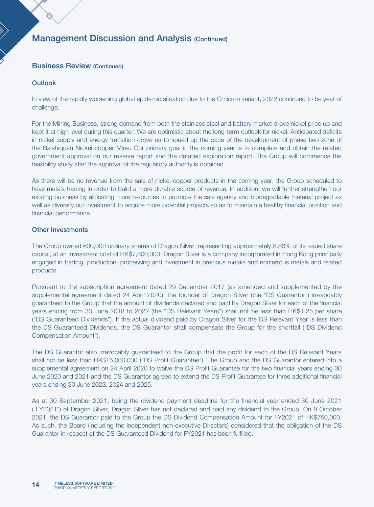# Management Discussion and Analysis (Continued)

### Business Review (Continued)

#### **Outlook**

In view of the rapidly worsening global epidemic situation due to the Omicron variant, 2022 continued to be year of challenge.

For the Mining Business, strong demand from both the stainless steel and battery market drove nickel price up and kept it at high level during this quarter. We are optimistic about the long-term outlook for nickel. Anticipated deficits in nickel supply and energy transition drove us to speed up the pace of the development of phase two zone of the Baishiquan Nickel-copper Mine. Our primary goal in the coming year is to complete and obtain the related government approval on our reserve report and the detailed exploration report. The Group will commence the feasibility study after the approval of the regulatory authority is obtained.

As there will be no revenue from the sale of nickel-copper products in the coming year, the Group scheduled to have metals trading in order to build a more durable source of revenue. In addition, we will further strengthen our existing business by allocating more resources to promote the sale agency and biodegradable material project as well as diversify our investment to acquire more potential projects so as to maintain a healthy financial position and financial performance.

#### Other Investments

The Group owned 600,000 ordinary shares of Dragon Silver, representing approximately 8.86% of its issued share capital, at an investment cost of HK\$7,800,000. Dragon Silver is a company incorporated in Hong Kong principally engaged in trading, production, processing and investment in precious metals and nonferrous metals and related products.

Pursuant to the subscription agreement dated 29 December 2017 (as amended and supplemented by the supplemental agreement dated 24 April 2020), the founder of Dragon Silver (the "DS Guarantor") irrevocably guaranteed to the Group that the amount of dividends declared and paid by Dragon Silver for each of the financial years ending from 30 June 2018 to 2022 (the "DS Relevant Years") shall not be less than HK\$1.25 per share ("DS Guaranteed Dividends"). If the actual dividend paid by Dragon Silver for the DS Relevant Year is less than the DS Guaranteed Dividends, the DS Guarantor shall compensate the Group for the shortfall ("DS Dividend Compensation Amount").

The DS Guarantor also irrevocably guaranteed to the Group that the profit for each of the DS Relevant Years shall not be less than HK\$15,000,000 ("DS Profit Guarantee"). The Group and the DS Guarantor entered into a supplemental agreement on 24 April 2020 to waive the DS Profit Guarantee for the two financial years ending 30 June 2020 and 2021 and the DS Guarantor agreed to extend the DS Profit Guarantee for three additional financial years ending 30 June 2023, 2024 and 2025.

As at 30 September 2021, being the dividend payment deadline for the financial year ended 30 June 2021 ("FY2021") of Dragon Silver, Dragon Silver has not declared and paid any dividend to the Group. On 8 October 2021, the DS Guarantor paid to the Group the DS Dividend Compensation Amount for FY2021 of HK\$750,000. As such, the Board (including the independent non-executive Directors) considered that the obligation of the DS Guarantor in respect of the DS Guaranteed Dividend for FY2021 has been fulfilled.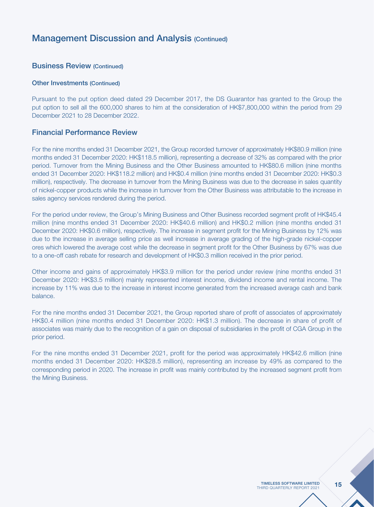# Management Discussion and Analysis (Continued)

#### Business Review (Continued)

#### Other Investments (Continued)

Pursuant to the put option deed dated 29 December 2017, the DS Guarantor has granted to the Group the put option to sell all the 600,000 shares to him at the consideration of HK\$7,800,000 within the period from 29 December 2021 to 28 December 2022.

#### Financial Performance Review

For the nine months ended 31 December 2021, the Group recorded turnover of approximately HK\$80.9 million (nine months ended 31 December 2020: HK\$118.5 million), representing a decrease of 32% as compared with the prior period. Turnover from the Mining Business and the Other Business amounted to HK\$80.6 million (nine months ended 31 December 2020: HK\$118.2 million) and HK\$0.4 million (nine months ended 31 December 2020: HK\$0.3 million), respectively. The decrease in turnover from the Mining Business was due to the decrease in sales quantity of nickel-copper products while the increase in turnover from the Other Business was attributable to the increase in sales agency services rendered during the period.

For the period under review, the Group's Mining Business and Other Business recorded segment profit of HK\$45.4 million (nine months ended 31 December 2020: HK\$40.6 million) and HK\$0.2 million (nine months ended 31 December 2020: HK\$0.6 million), respectively. The increase in segment profit for the Mining Business by 12% was due to the increase in average selling price as well increase in average grading of the high-grade nickel-copper ores which lowered the average cost while the decrease in segment profit for the Other Business by 67% was due to a one-off cash rebate for research and development of HK\$0.3 million received in the prior period.

Other income and gains of approximately HK\$3.9 million for the period under review (nine months ended 31 December 2020: HK\$3.5 million) mainly represented interest income, dividend income and rental income. The increase by 11% was due to the increase in interest income generated from the increased average cash and bank balance.

For the nine months ended 31 December 2021, the Group reported share of profit of associates of approximately HK\$0.4 million (nine months ended 31 December 2020: HK\$1.3 million). The decrease in share of profit of associates was mainly due to the recognition of a gain on disposal of subsidiaries in the profit of CGA Group in the prior period.

For the nine months ended 31 December 2021, profit for the period was approximately HK\$42.6 million (nine months ended 31 December 2020: HK\$28.5 million), representing an increase by 49% as compared to the corresponding period in 2020. The increase in profit was mainly contributed by the increased segment profit from the Mining Business.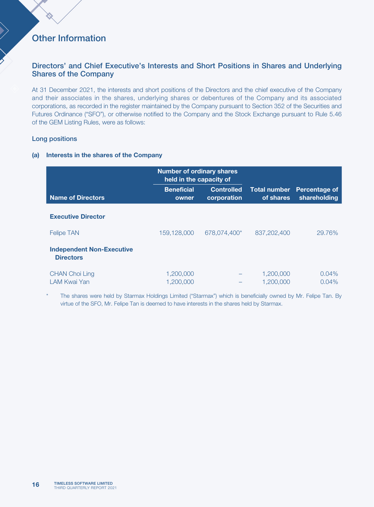# Other Information

### Directors' and Chief Executive's Interests and Short Positions in Shares and Underlying Shares of the Company

At 31 December 2021, the interests and short positions of the Directors and the chief executive of the Company and their associates in the shares, underlying shares or debentures of the Company and its associated corporations, as recorded in the register maintained by the Company pursuant to Section 352 of the Securities and Futures Ordinance ("SFO"), or otherwise notified to the Company and the Stock Exchange pursuant to Rule 5.46 of the GEM Listing Rules, were as follows:

#### Long positions

#### (a) Interests in the shares of the Company

|                                                      | <b>Number of ordinary shares</b><br>held in the capacity of |                                  |                                  |                               |
|------------------------------------------------------|-------------------------------------------------------------|----------------------------------|----------------------------------|-------------------------------|
| <b>Name of Directors</b>                             | <b>Beneficial</b><br>owner                                  | <b>Controlled</b><br>corporation | <b>Total number</b><br>of shares | Percentage of<br>shareholding |
| <b>Executive Director</b>                            |                                                             |                                  |                                  |                               |
| <b>Felipe TAN</b>                                    | 159,128,000                                                 | 678,074,400*                     | 837,202,400                      | 29.76%                        |
| <b>Independent Non-Executive</b><br><b>Directors</b> |                                                             |                                  |                                  |                               |
| <b>CHAN Choi Ling</b><br>LAM Kwai Yan                | 1,200,000<br>1,200,000                                      |                                  | 1.200.000<br>1,200,000           | 0.04%<br>0.04%                |

The shares were held by Starmax Holdings Limited ("Starmax") which is beneficially owned by Mr. Felipe Tan. By virtue of the SFO, Mr. Felipe Tan is deemed to have interests in the shares held by Starmax.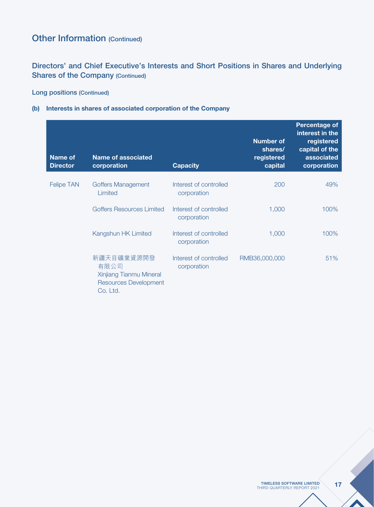# Directors' and Chief Executive's Interests and Short Positions in Shares and Underlying Shares of the Company (Continued)

## Long positions (Continued)

#### (b) Interests in shares of associated corporation of the Company

| <b>Name of</b><br><b>Director</b> | <b>Name of associated</b><br>corporation                                                  | <b>Capacity</b>                       | <b>Number of</b><br>shares/<br>registered<br>capital | Percentage of<br>interest in the<br>registered<br>capital of the<br>associated<br>corporation |
|-----------------------------------|-------------------------------------------------------------------------------------------|---------------------------------------|------------------------------------------------------|-----------------------------------------------------------------------------------------------|
| <b>Felipe TAN</b>                 | Goffers Management<br>Limited                                                             | Interest of controlled<br>corporation | 200                                                  | 49%                                                                                           |
|                                   | Goffers Resources Limited                                                                 | Interest of controlled<br>corporation | 1,000                                                | 100%                                                                                          |
|                                   | Kangshun HK Limited                                                                       | Interest of controlled<br>corporation | 1,000                                                | 100%                                                                                          |
|                                   | 新疆天目礦業資源開發<br>有限公司<br>Xinjiang Tianmu Mineral<br><b>Resources Development</b><br>Co. Ltd. | Interest of controlled<br>corporation | RMB36,000,000                                        | 51%                                                                                           |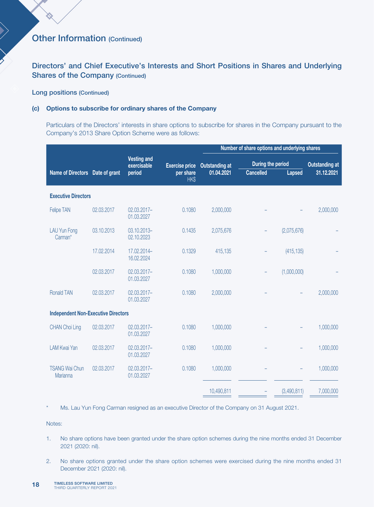Directors' and Chief Executive's Interests and Short Positions in Shares and Underlying Shares of the Company (Continued)

#### Long positions (Continued)

#### (c) Options to subscribe for ordinary shares of the Company

Particulars of the Directors' interests in share options to subscribe for shares in the Company pursuant to the Company's 2013 Share Option Scheme were as follows:

|                                            |            |                                   |                       | Number of share options and underlying shares |                  |                                            |            |
|--------------------------------------------|------------|-----------------------------------|-----------------------|-----------------------------------------------|------------------|--------------------------------------------|------------|
|                                            |            | <b>Vesting and</b><br>exercisable | <b>Exercise price</b> | <b>Outstanding at</b>                         |                  | During the period<br><b>Outstanding at</b> |            |
| Name of Directors Date of grant            |            | period                            | per share<br>HK\$     | 01.04.2021                                    | <b>Cancelled</b> | Lapsed                                     | 31.12.2021 |
| <b>Executive Directors</b>                 |            |                                   |                       |                                               |                  |                                            |            |
| Felipe TAN                                 | 02.03.2017 | 02.03.2017-<br>01.03.2027         | 0.1080                | 2,000,000                                     |                  |                                            | 2,000,000  |
| <b>LAU Yun Fong</b><br>Carman*             | 03.10.2013 | 03.10.2013-<br>02.10.2023         | 0.1435                | 2,075,676                                     |                  | (2,075,676)                                |            |
|                                            | 17.02.2014 | 17.02.2014-<br>16.02.2024         | 0.1329                | 415,135                                       |                  | (415, 135)                                 |            |
|                                            | 02.03.2017 | 02.03.2017-<br>01.03.2027         | 0.1080                | 1,000,000                                     |                  | (1,000,000)                                |            |
| <b>Ronald TAN</b>                          | 02.03.2017 | 02.03.2017-<br>01.03.2027         | 0.1080                | 2,000,000                                     |                  |                                            | 2,000,000  |
| <b>Independent Non-Executive Directors</b> |            |                                   |                       |                                               |                  |                                            |            |
| <b>CHAN Choi Ling</b>                      | 02.03.2017 | 02.03.2017-<br>01.03.2027         | 0.1080                | 1,000,000                                     |                  |                                            | 1,000,000  |
| <b>LAM Kwai Yan</b>                        | 02.03.2017 | 02.03.2017-<br>01.03.2027         | 0.1080                | 1,000,000                                     |                  |                                            | 1,000,000  |
| <b>TSANG Wai Chun</b><br>Marianna          | 02.03.2017 | 02.03.2017-<br>01.03.2027         | 0.1080                | 1,000,000                                     |                  |                                            | 1,000,000  |
|                                            |            |                                   |                       | 10,490,811                                    |                  | (3,490,811)                                | 7,000,000  |

\* Ms. Lau Yun Fong Carman resigned as an executive Director of the Company on 31 August 2021.

Notes:

- 1. No share options have been granted under the share option schemes during the nine months ended 31 December 2021 (2020: nil).
- 2. No share options granted under the share option schemes were exercised during the nine months ended 31 December 2021 (2020: nil).
- TIMELESS SOFTWARE LIMITED **18 TIMELESS SOFTWARE LIMITED**<br>THIRD QUARTERLY REPORT 2021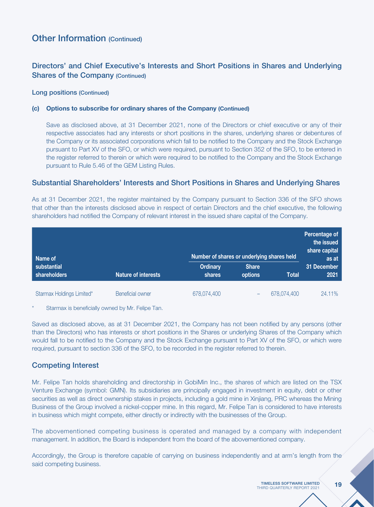# Directors' and Chief Executive's Interests and Short Positions in Shares and Underlying Shares of the Company (Continued)

#### Long positions (Continued)

#### (c) Options to subscribe for ordinary shares of the Company (Continued)

Save as disclosed above, at 31 December 2021, none of the Directors or chief executive or any of their respective associates had any interests or short positions in the shares, underlying shares or debentures of the Company or its associated corporations which fall to be notified to the Company and the Stock Exchange pursuant to Part XV of the SFO, or which were required, pursuant to Section 352 of the SFO, to be entered in the register referred to therein or which were required to be notified to the Company and the Stock Exchange pursuant to Rule 5.46 of the GEM Listing Rules.

### Substantial Shareholders' Interests and Short Positions in Shares and Underlying Shares

As at 31 December 2021, the register maintained by the Company pursuant to Section 336 of the SFO shows that other than the interests disclosed above in respect of certain Directors and the chief executive, the following shareholders had notified the Company of relevant interest in the issued share capital of the Company.

| Name of                     |                            |                           | Number of shares or underlying shares held |             |                     |
|-----------------------------|----------------------------|---------------------------|--------------------------------------------|-------------|---------------------|
| substantial<br>shareholders | <b>Nature of interests</b> | <b>Ordinary</b><br>shares | <b>Share</b><br>options                    | Total       | 31 December<br>2021 |
| Starmax Holdings Limited*   | <b>Beneficial owner</b>    | 678,074,400               | -                                          | 678,074,400 | 24.11%              |

Starmax is beneficially owned by Mr. Felipe Tan.

Saved as disclosed above, as at 31 December 2021, the Company has not been notified by any persons (other than the Directors) who has interests or short positions in the Shares or underlying Shares of the Company which would fall to be notified to the Company and the Stock Exchange pursuant to Part XV of the SFO, or which were required, pursuant to section 336 of the SFO, to be recorded in the register referred to therein.

### Competing Interest

Mr. Felipe Tan holds shareholding and directorship in GobiMin Inc., the shares of which are listed on the TSX Venture Exchange (symbol: GMN). Its subsidiaries are principally engaged in investment in equity, debt or other securities as well as direct ownership stakes in projects, including a gold mine in Xinjiang, PRC whereas the Mining Business of the Group involved a nickel-copper mine. In this regard, Mr. Felipe Tan is considered to have interests in business which might compete, either directly or indirectly with the businesses of the Group.

The abovementioned competing business is operated and managed by a company with independent management. In addition, the Board is independent from the board of the abovementioned company.

Accordingly, the Group is therefore capable of carrying on business independently and at arm's length from the said competing business.